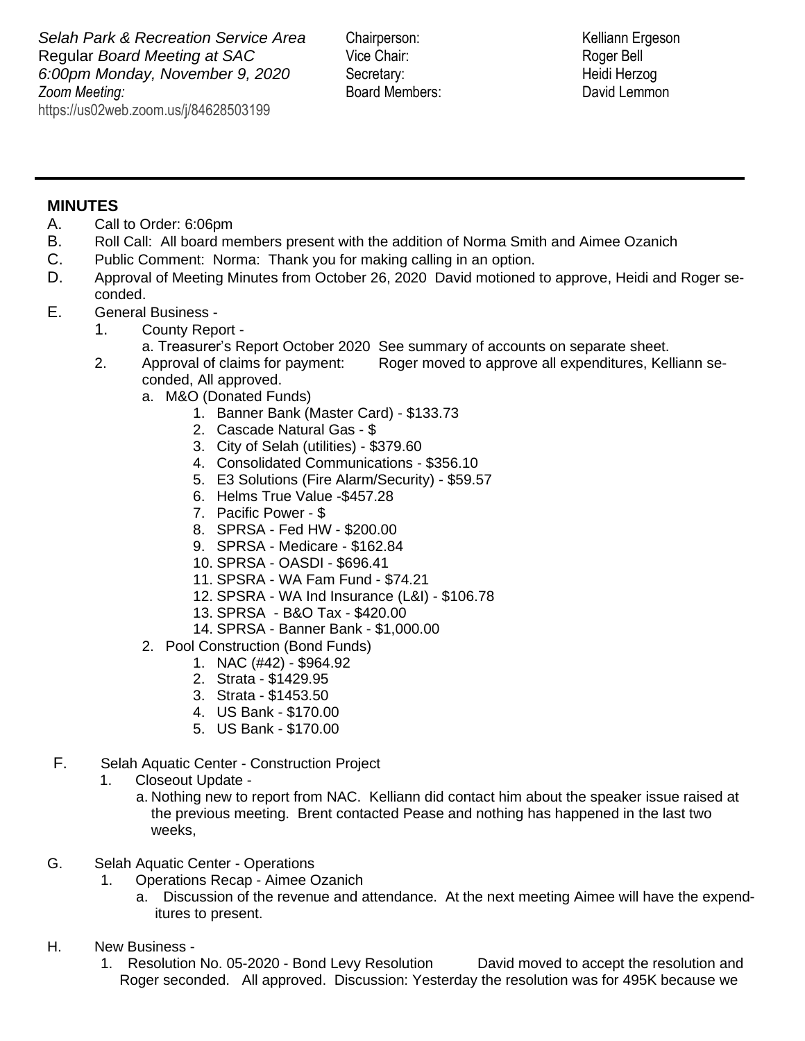**Zoom Meeting:**  https://us02web.zoom.us/j/84628503199 **Selah Park & Recreation Service Area** Chairperson: Kelliann Ergeson Regular *Board Meeting at SAC* Vice Chair: Roger Bell *6:00pm Monday, November 9, 2020* Secretary: Heidi Herzog

*Zooma* Board Members: *Zooma David Lemmon* 

## **MINUTES**

- A. Call to Order: 6:06pm
- B. Roll Call: All board members present with the addition of Norma Smith and Aimee Ozanich
- C. Public Comment: Norma: Thank you for making calling in an option.
- D. Approval of Meeting Minutes from October 26, 2020 David motioned to approve, Heidi and Roger seconded.
- E. General Business
	- 1. County Report
		- a. Treasurer's Report October 2020 See summary of accounts on separate sheet.
	- 2. Approval of claims for payment: Roger moved to approve all expenditures, Kelliann seconded, All approved.
		- a. M&O (Donated Funds)
			- 1. Banner Bank (Master Card) \$133.73
			- 2. Cascade Natural Gas \$
			- 3. City of Selah (utilities) \$379.60
			- 4. Consolidated Communications \$356.10
			- 5. E3 Solutions (Fire Alarm/Security) \$59.57
			- 6. Helms True Value -\$457.28
			- 7. Pacific Power \$
			- 8. SPRSA Fed HW \$200.00
			- 9. SPRSA Medicare \$162.84
			- 10. SPRSA OASDI \$696.41
			- 11. SPSRA WA Fam Fund \$74.21
			- 12. SPSRA WA Ind Insurance (L&I) \$106.78
			- 13. SPRSA B&O Tax \$420.00
			- 14. SPRSA Banner Bank \$1,000.00
		- 2. Pool Construction (Bond Funds)
			- 1. NAC (#42) \$964.92
			- 2. Strata \$1429.95
			- 3. Strata \$1453.50
			- 4. US Bank \$170.00
			- 5. US Bank \$170.00
- F. Selah Aquatic Center Construction Project
	- 1. Closeout Update
		- a. Nothing new to report from NAC. Kelliann did contact him about the speaker issue raised at the previous meeting. Brent contacted Pease and nothing has happened in the last two weeks,
- G. Selah Aquatic Center Operations
	- 1. Operations Recap Aimee Ozanich
		- a. Discussion of the revenue and attendance. At the next meeting Aimee will have the expenditures to present.
- H. New Business
	- 1. Resolution No. 05-2020 Bond Levy Resolution David moved to accept the resolution and Roger seconded. All approved. Discussion: Yesterday the resolution was for 495K because we